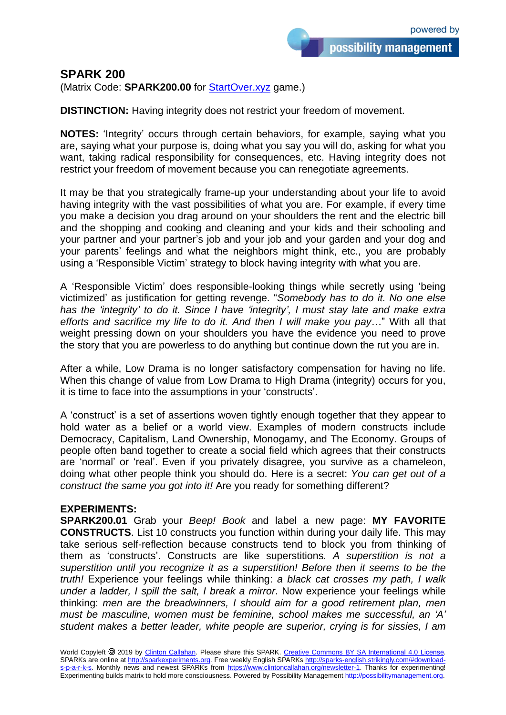## **SPARK 200**

(Matrix Code: **SPARK200.00** for [StartOver.xyz](http://startoverxyz.mystrikingly.com/) game.)

**DISTINCTION:** Having integrity does not restrict your freedom of movement.

**NOTES:** 'Integrity' occurs through certain behaviors, for example, saying what you are, saying what your purpose is, doing what you say you will do, asking for what you want, taking radical responsibility for consequences, etc. Having integrity does not restrict your freedom of movement because you can renegotiate agreements.

It may be that you strategically frame-up your understanding about your life to avoid having integrity with the vast possibilities of what you are. For example, if every time you make a decision you drag around on your shoulders the rent and the electric bill and the shopping and cooking and cleaning and your kids and their schooling and your partner and your partner's job and your job and your garden and your dog and your parents' feelings and what the neighbors might think, etc., you are probably using a 'Responsible Victim' strategy to block having integrity with what you are.

A 'Responsible Victim' does responsible-looking things while secretly using 'being victimized' as justification for getting revenge. "*Somebody has to do it. No one else has the 'integrity' to do it. Since I have 'integrity', I must stay late and make extra efforts and sacrifice my life to do it. And then I will make you pay*…" With all that weight pressing down on your shoulders you have the evidence you need to prove the story that you are powerless to do anything but continue down the rut you are in.

After a while, Low Drama is no longer satisfactory compensation for having no life. When this change of value from Low Drama to High Drama (integrity) occurs for you, it is time to face into the assumptions in your 'constructs'.

A 'construct' is a set of assertions woven tightly enough together that they appear to hold water as a belief or a world view. Examples of modern constructs include Democracy, Capitalism, Land Ownership, Monogamy, and The Economy. Groups of people often band together to create a social field which agrees that their constructs are 'normal' or 'real'. Even if you privately disagree, you survive as a chameleon, doing what other people think you should do. Here is a secret: *You can get out of a construct the same you got into it!* Are you ready for something different?

## **EXPERIMENTS:**

**SPARK200.01** Grab your *Beep! Book* and label a new page: **MY FAVORITE CONSTRUCTS**. List 10 constructs you function within during your daily life. This may take serious self-reflection because constructs tend to block you from thinking of them as 'constructs'. Constructs are like superstitions. *A superstition is not a superstition until you recognize it as a superstition! Before then it seems to be the truth!* Experience your feelings while thinking: *a black cat crosses my path, I walk under a ladder, I spill the salt, I break a mirror*. Now experience your feelings while thinking: *men are the breadwinners, I should aim for a good retirement plan, men must be masculine, women must be feminine, school makes me successful, an 'A' student makes a better leader, white people are superior, crying is for sissies, I am*